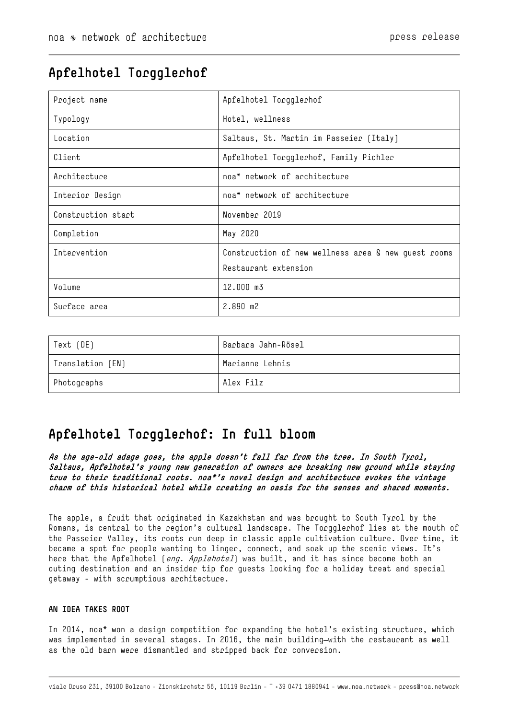# **Apfelhotel Torgglerhof**

| Project name       | Apfelhotel Torgglerhof                                                      |
|--------------------|-----------------------------------------------------------------------------|
| Typology           | Hotel, wellness                                                             |
| Location           | Saltaus, St. Martin im Passeier (Italy)                                     |
| Client             | Apfelhotel Torgglerhof, Family Pichler                                      |
| Acchitecture       | noa* network of architecture                                                |
| Interior Design    | noa* network of architecture                                                |
| Construction start | November 2019                                                               |
| Completion         | May 2020                                                                    |
| Intervention       | Construction of new wellness area & new quest rooms<br>Restaurant extension |
| Volume             | 12.000 m3                                                                   |
| Surface area       | $2.890$ m <sup>2</sup>                                                      |

| Text (DE)        | Barbara Jahn-Rösel |
|------------------|--------------------|
| Translation (EN) | Marianne Lehnis    |
| Photographs      | Alex Filz          |

# **Apfelhotel Torgglerhof: In full bloom**

**As the age-old adage goes, the apple doesn't fall far from the tree. In South Tyrol, Saltaus, Apfelhotel's young new generation of owners are breaking new ground while staying true to their traditional roots. noa\*'s novel design and architecture evokes the vintage charm of this historical hotel while creating an oasis for the senses and shared moments.**

The apple, a fruit that originated in Kazakhstan and was brought to South Tyrol by the Romans, is central to the region's cultural landscape. The Torgglerhof lies at the mouth of the Passeier Valley, its roots run deep in classic apple cultivation culture. Over time, it became a spot for people wanting to linger, connect, and soak up the scenic views. It's here that the Apfelhotel (eng. Applehotel) was built, and it has since become both an outing destination and an insider tip for guests looking for a holiday treat and special getaway - with scrumptious architecture.

# **AN IDEA TAKES ROOT**

In 2014, noa\* won a design competition for expanding the hotel's existing structure, which was implemented in several stages. In 2016, the main building-with the restaurant as well as the old barn were dismantled and stripped back for conversion.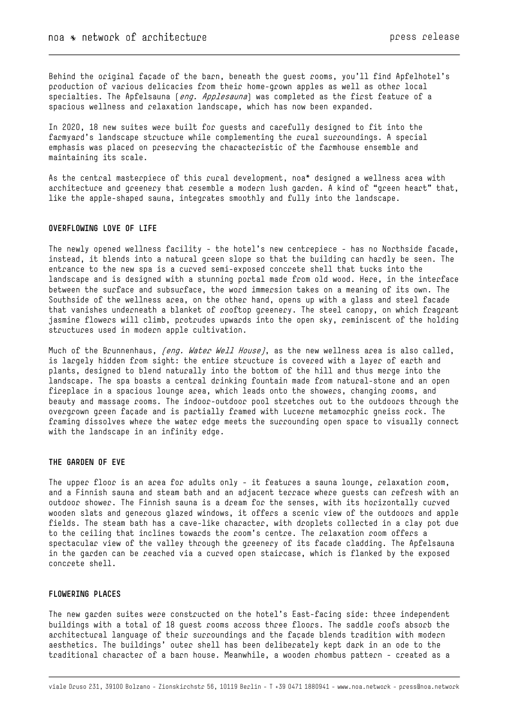Behind the original façade of the barn, beneath the guest rooms, you'll find Apfelhotel's production of various delicacies from their home-grown apples as well as other local specialties. The Apfelsauna (eng. Applesauna) was completed as the first feature of a spacious wellness and relaxation landscape, which has now been expanded.

In 2020, 18 new suites were built for guests and carefully designed to fit into the farmyard's landscape structure while complementing the rural surroundings. A special emphasis was placed on preserving the characteristic of the farmhouse ensemble and maintaining its scale.

As the central masterpiece of this rural development, noa\* designed a wellness area with architecture and greenery that resemble a modern lush garden. A kind of "green heart" that, like the apple-shaped sauna, integrates smoothly and fully into the landscape.

## **OVERFLOWING LOVE OF LIFE**

The newly opened wellness facility - the hotel's new centrepiece - has no Northside facade, instead, it blends into a natural green slope so that the building can hardly be seen. The entrance to the new spa is a curved semi-exposed concrete shell that tucks into the landscape and is designed with a stunning portal made from old wood. Here, in the interface between the surface and subsurface, the word immersion takes on a meaning of its own. The Southside of the wellness area, on the other hand, opens up with a glass and steel facade that vanishes underneath a blanket of rooftop greenery. The steel canopy, on which fragrant jasmine flowers will climb, protrudes upwards into the open sky, reminiscent of the holding structures used in modern apple cultivation.

Much of the Brunnenhaus, *(eng. Water Well House)*, as the new wellness area is also called, is largely hidden from sight: the entire structure is covered with a layer of earth and plants, designed to blend naturally into the bottom of the hill and thus merge into the landscape. The spa boasts a central drinking fountain made from natural-stone and an open fireplace in a spacious lounge area, which leads onto the showers, changing rooms, and beauty and massage rooms. The indoor-outdoor pool stretches out to the outdoors through the overgrown green façade and is partially framed with Lucerne metamorphic gneiss rock. The framing dissolves where the water edge meets the surrounding open space to visually connect with the landscape in an infinity edge.

## **THE GARDEN OF EVE**

The upper floor is an area for adults only - it features a sauna lounge, relaxation room, and a Finnish sauna and steam bath and an adjacent terrace where guests can refresh with an outdoor shower. The Finnish sauna is a dream for the senses, with its horizontally curved wooden slats and generous glazed windows, it offers a scenic view of the outdoors and apple fields. The steam bath has a cave-like character, with droplets collected in a clay pot due to the ceiling that inclines towards the room's centre. The relaxation room offers a spectacular view of the valley through the greenery of its facade cladding. The Apfelsauna in the garden can be reached via a curved open staircase, which is flanked by the exposed concrete shell.

#### **FLOWERING PLACES**

The new garden suites were constructed on the hotel's East-facing side: three independent buildings with a total of 18 guest rooms across three floors. The saddle roofs absorb the architectural language of their surroundings and the façade blends tradition with modern aesthetics. The buildings' outer shell has been deliberately kept dark in an ode to the traditional character of a barn house. Meanwhile, a wooden rhombus pattern - created as a